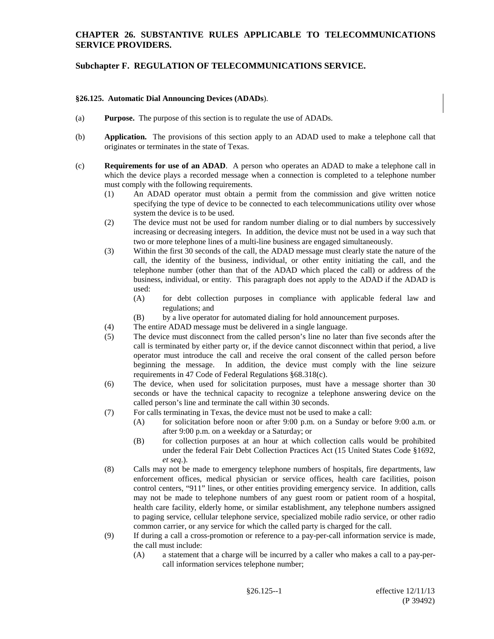# **CHAPTER 26. SUBSTANTIVE RULES APPLICABLE TO TELECOMMUNICATIONS SERVICE PROVIDERS.**

# **Subchapter F. REGULATION OF TELECOMMUNICATIONS SERVICE.**

### **§26.125. Automatic Dial Announcing Devices (ADADs**).

- (a) **Purpose.** The purpose of this section is to regulate the use of ADADs.
- (b) **Application.** The provisions of this section apply to an ADAD used to make a telephone call that originates or terminates in the state of Texas.
- (c) **Requirements for use of an ADAD**. A person who operates an ADAD to make a telephone call in which the device plays a recorded message when a connection is completed to a telephone number must comply with the following requirements.
	- (1) An ADAD operator must obtain a permit from the commission and give written notice specifying the type of device to be connected to each telecommunications utility over whose system the device is to be used.
	- (2) The device must not be used for random number dialing or to dial numbers by successively increasing or decreasing integers. In addition, the device must not be used in a way such that two or more telephone lines of a multi-line business are engaged simultaneously.
	- (3) Within the first 30 seconds of the call, the ADAD message must clearly state the nature of the call, the identity of the business, individual, or other entity initiating the call, and the telephone number (other than that of the ADAD which placed the call) or address of the business, individual, or entity. This paragraph does not apply to the ADAD if the ADAD is used:
		- (A) for debt collection purposes in compliance with applicable federal law and regulations; and
		- (B) by a live operator for automated dialing for hold announcement purposes.
	- (4) The entire ADAD message must be delivered in a single language.
	- (5) The device must disconnect from the called person's line no later than five seconds after the call is terminated by either party or, if the device cannot disconnect within that period, a live operator must introduce the call and receive the oral consent of the called person before beginning the message. In addition, the device must comply with the line seizure requirements in 47 Code of Federal Regulations §68.318(c).
	- (6) The device, when used for solicitation purposes, must have a message shorter than 30 seconds or have the technical capacity to recognize a telephone answering device on the called person's line and terminate the call within 30 seconds.
	- (7) For calls terminating in Texas, the device must not be used to make a call:
		- (A) for solicitation before noon or after 9:00 p.m. on a Sunday or before 9:00 a.m. or after 9:00 p.m. on a weekday or a Saturday; or
		- (B) for collection purposes at an hour at which collection calls would be prohibited under the federal Fair Debt Collection Practices Act (15 United States Code §1692, *et seq*.).
	- (8) Calls may not be made to emergency telephone numbers of hospitals, fire departments, law enforcement offices, medical physician or service offices, health care facilities, poison control centers, "911" lines, or other entities providing emergency service. In addition, calls may not be made to telephone numbers of any guest room or patient room of a hospital, health care facility, elderly home, or similar establishment, any telephone numbers assigned to paging service, cellular telephone service, specialized mobile radio service, or other radio common carrier, or any service for which the called party is charged for the call.
	- (9) If during a call a cross-promotion or reference to a pay-per-call information service is made, the call must include:
		- (A) a statement that a charge will be incurred by a caller who makes a call to a pay-percall information services telephone number;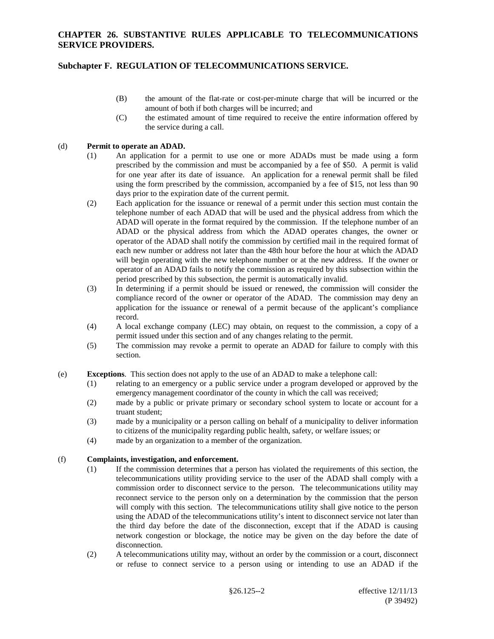# **Subchapter F. REGULATION OF TELECOMMUNICATIONS SERVICE.**

- (B) the amount of the flat-rate or cost-per-minute charge that will be incurred or the amount of both if both charges will be incurred; and
- (C) the estimated amount of time required to receive the entire information offered by the service during a call.

## (d) **Permit to operate an ADAD.**

- (1) An application for a permit to use one or more ADADs must be made using a form prescribed by the commission and must be accompanied by a fee of \$50. A permit is valid for one year after its date of issuance. An application for a renewal permit shall be filed using the form prescribed by the commission, accompanied by a fee of \$15, not less than 90 days prior to the expiration date of the current permit.
- (2) Each application for the issuance or renewal of a permit under this section must contain the telephone number of each ADAD that will be used and the physical address from which the ADAD will operate in the format required by the commission. If the telephone number of an ADAD or the physical address from which the ADAD operates changes, the owner or operator of the ADAD shall notify the commission by certified mail in the required format of each new number or address not later than the 48th hour before the hour at which the ADAD will begin operating with the new telephone number or at the new address. If the owner or operator of an ADAD fails to notify the commission as required by this subsection within the period prescribed by this subsection, the permit is automatically invalid.
- (3) In determining if a permit should be issued or renewed, the commission will consider the compliance record of the owner or operator of the ADAD. The commission may deny an application for the issuance or renewal of a permit because of the applicant's compliance record.
- (4) A local exchange company (LEC) may obtain, on request to the commission, a copy of a permit issued under this section and of any changes relating to the permit.
- (5) The commission may revoke a permit to operate an ADAD for failure to comply with this section.
- (e) **Exceptions**. This section does not apply to the use of an ADAD to make a telephone call:
	- (1) relating to an emergency or a public service under a program developed or approved by the emergency management coordinator of the county in which the call was received;
	- (2) made by a public or private primary or secondary school system to locate or account for a truant student;
	- (3) made by a municipality or a person calling on behalf of a municipality to deliver information to citizens of the municipality regarding public health, safety, or welfare issues; or
	- (4) made by an organization to a member of the organization.

### (f) **Complaints, investigation, and enforcement.**

- (1) If the commission determines that a person has violated the requirements of this section, the telecommunications utility providing service to the user of the ADAD shall comply with a commission order to disconnect service to the person. The telecommunications utility may reconnect service to the person only on a determination by the commission that the person will comply with this section. The telecommunications utility shall give notice to the person using the ADAD of the telecommunications utility's intent to disconnect service not later than the third day before the date of the disconnection, except that if the ADAD is causing network congestion or blockage, the notice may be given on the day before the date of disconnection.
- (2) A telecommunications utility may, without an order by the commission or a court, disconnect or refuse to connect service to a person using or intending to use an ADAD if the